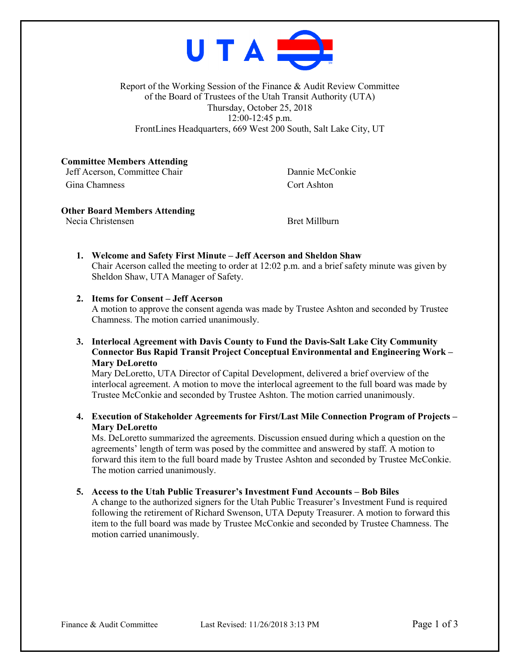

Report of the Working Session of the Finance & Audit Review Committee of the Board of Trustees of the Utah Transit Authority (UTA) Thursday, October 25, 2018 12:00-12:45 p.m. FrontLines Headquarters, 669 West 200 South, Salt Lake City, UT

**Committee Members Attending** Jeff Acerson, Committee Chair Dannie McConkie

Gina Chamness Cort Ashton

## **Other Board Members Attending**

Necia Christensen Bret Millburn

**1. Welcome and Safety First Minute – Jeff Acerson and Sheldon Shaw** Chair Acerson called the meeting to order at 12:02 p.m. and a brief safety minute was given by Sheldon Shaw, UTA Manager of Safety.

# **2. Items for Consent – Jeff Acerson**

A motion to approve the consent agenda was made by Trustee Ashton and seconded by Trustee Chamness. The motion carried unanimously.

**3. Interlocal Agreement with Davis County to Fund the Davis-Salt Lake City Community Connector Bus Rapid Transit Project Conceptual Environmental and Engineering Work – Mary DeLoretto**

Mary DeLoretto, UTA Director of Capital Development, delivered a brief overview of the interlocal agreement. A motion to move the interlocal agreement to the full board was made by Trustee McConkie and seconded by Trustee Ashton. The motion carried unanimously.

**4. Execution of Stakeholder Agreements for First/Last Mile Connection Program of Projects – Mary DeLoretto**

Ms. DeLoretto summarized the agreements. Discussion ensued during which a question on the agreements' length of term was posed by the committee and answered by staff. A motion to forward this item to the full board made by Trustee Ashton and seconded by Trustee McConkie. The motion carried unanimously.

# **5. Access to the Utah Public Treasurer's Investment Fund Accounts – Bob Biles**

A change to the authorized signers for the Utah Public Treasurer's Investment Fund is required following the retirement of Richard Swenson, UTA Deputy Treasurer. A motion to forward this item to the full board was made by Trustee McConkie and seconded by Trustee Chamness. The motion carried unanimously.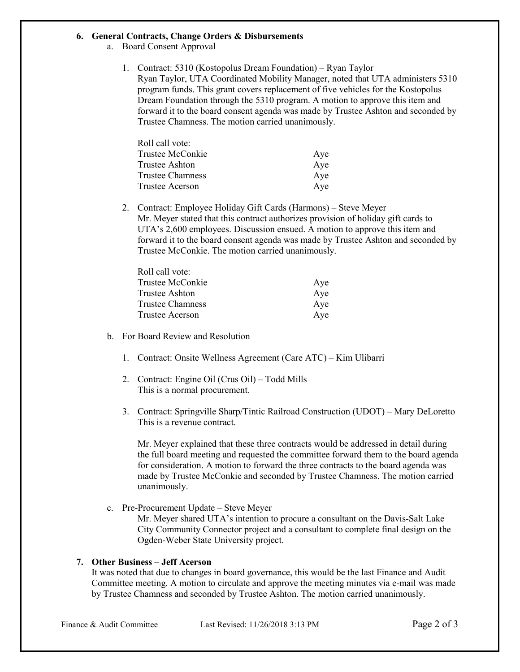#### **6. General Contracts, Change Orders & Disbursements**

- a. Board Consent Approval
	- 1. Contract: 5310 (Kostopolus Dream Foundation) Ryan Taylor Ryan Taylor, UTA Coordinated Mobility Manager, noted that UTA administers 5310 program funds. This grant covers replacement of five vehicles for the Kostopolus Dream Foundation through the 5310 program. A motion to approve this item and forward it to the board consent agenda was made by Trustee Ashton and seconded by Trustee Chamness. The motion carried unanimously.

| Roll call vote:  |     |
|------------------|-----|
| Trustee McConkie | Aye |
| Trustee Ashton   | Aye |
| Trustee Chamness | Aye |
| Trustee Acerson  | Aye |

2. Contract: Employee Holiday Gift Cards (Harmons) – Steve Meyer Mr. Meyer stated that this contract authorizes provision of holiday gift cards to UTA's 2,600 employees. Discussion ensued. A motion to approve this item and forward it to the board consent agenda was made by Trustee Ashton and seconded by Trustee McConkie. The motion carried unanimously.

| Aye |
|-----|
| Aye |
| Aye |
| Aye |
|     |

- b. For Board Review and Resolution
	- 1. Contract: Onsite Wellness Agreement (Care ATC) Kim Ulibarri
	- 2. Contract: Engine Oil (Crus Oil) Todd Mills This is a normal procurement.
	- 3. Contract: Springville Sharp/Tintic Railroad Construction (UDOT) Mary DeLoretto This is a revenue contract.

Mr. Meyer explained that these three contracts would be addressed in detail during the full board meeting and requested the committee forward them to the board agenda for consideration. A motion to forward the three contracts to the board agenda was made by Trustee McConkie and seconded by Trustee Chamness. The motion carried unanimously.

c. Pre-Procurement Update – Steve Meyer

Mr. Meyer shared UTA's intention to procure a consultant on the Davis-Salt Lake City Community Connector project and a consultant to complete final design on the Ogden-Weber State University project.

## **7. Other Business – Jeff Acerson**

It was noted that due to changes in board governance, this would be the last Finance and Audit Committee meeting. A motion to circulate and approve the meeting minutes via e-mail was made by Trustee Chamness and seconded by Trustee Ashton. The motion carried unanimously.